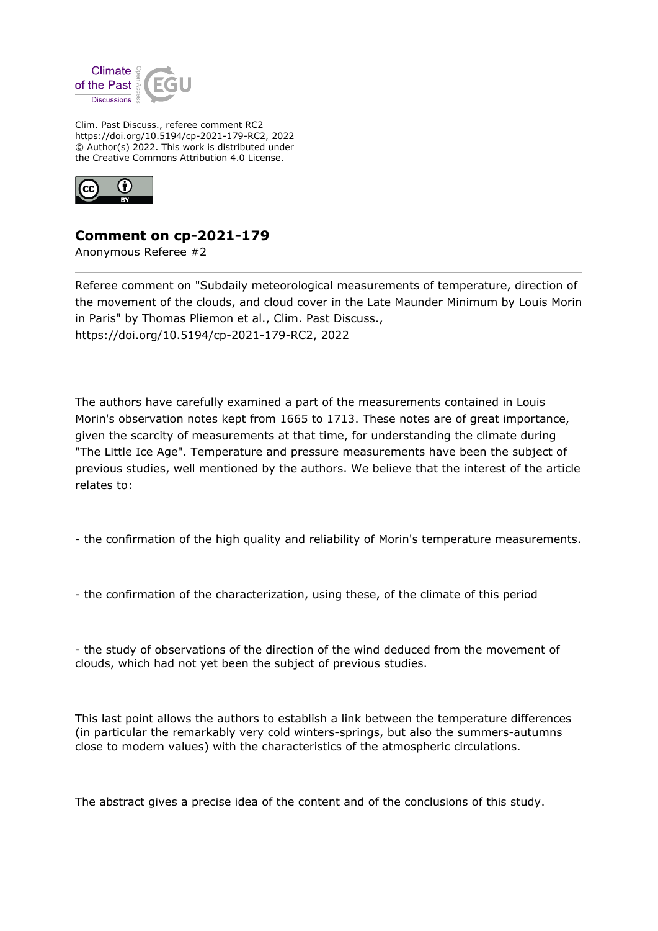

Clim. Past Discuss., referee comment RC2 https://doi.org/10.5194/cp-2021-179-RC2, 2022 © Author(s) 2022. This work is distributed under the Creative Commons Attribution 4.0 License.



## **Comment on cp-2021-179**

Anonymous Referee #2

Referee comment on "Subdaily meteorological measurements of temperature, direction of the movement of the clouds, and cloud cover in the Late Maunder Minimum by Louis Morin in Paris" by Thomas Pliemon et al., Clim. Past Discuss., https://doi.org/10.5194/cp-2021-179-RC2, 2022

The authors have carefully examined a part of the measurements contained in Louis Morin's observation notes kept from 1665 to 1713. These notes are of great importance, given the scarcity of measurements at that time, for understanding the climate during "The Little Ice Age". Temperature and pressure measurements have been the subject of previous studies, well mentioned by the authors. We believe that the interest of the article relates to:

- the confirmation of the high quality and reliability of Morin's temperature measurements.

- the confirmation of the characterization, using these, of the climate of this period

- the study of observations of the direction of the wind deduced from the movement of clouds, which had not yet been the subject of previous studies.

This last point allows the authors to establish a link between the temperature differences (in particular the remarkably very cold winters-springs, but also the summers-autumns close to modern values) with the characteristics of the atmospheric circulations.

The abstract gives a precise idea of the content and of the conclusions of this study.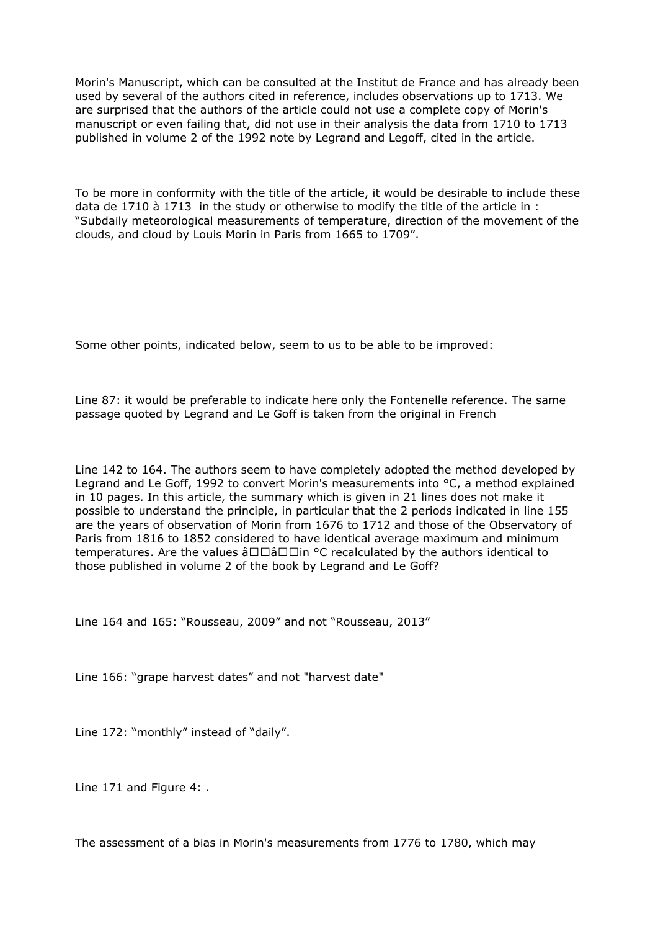Morin's Manuscript, which can be consulted at the Institut de France and has already been used by several of the authors cited in reference, includes observations up to 1713. We are surprised that the authors of the article could not use a complete copy of Morin's manuscript or even failing that, did not use in their analysis the data from 1710 to 1713 published in volume 2 of the 1992 note by Legrand and Legoff, cited in the article.

To be more in conformity with the title of the article, it would be desirable to include these data de 1710 à 1713 in the study or otherwise to modify the title of the article in : "Subdaily meteorological measurements of temperature, direction of the movement of the clouds, and cloud by Louis Morin in Paris from 1665 to 1709".

Some other points, indicated below, seem to us to be able to be improved:

Line 87: it would be preferable to indicate here only the Fontenelle reference. The same passage quoted by Legrand and Le Goff is taken from the original in French

Line 142 to 164. The authors seem to have completely adopted the method developed by Legrand and Le Goff, 1992 to convert Morin's measurements into °C, a method explained in 10 pages. In this article, the summary which is given in 21 lines does not make it possible to understand the principle, in particular that the 2 periods indicated in line 155 are the years of observation of Morin from 1676 to 1712 and those of the Observatory of Paris from 1816 to 1852 considered to have identical average maximum and minimum temperatures. Are the values  $\hat{a} \Box \Box \hat{a} \Box \Box$  <sup>o</sup>C recalculated by the authors identical to those published in volume 2 of the book by Legrand and Le Goff?

Line 164 and 165: "Rousseau, 2009" and not "Rousseau, 2013"

Line 166: "grape harvest dates" and not "harvest date"

Line 172: "monthly" instead of "daily".

Line 171 and Figure 4: .

The assessment of a bias in Morin's measurements from 1776 to 1780, which may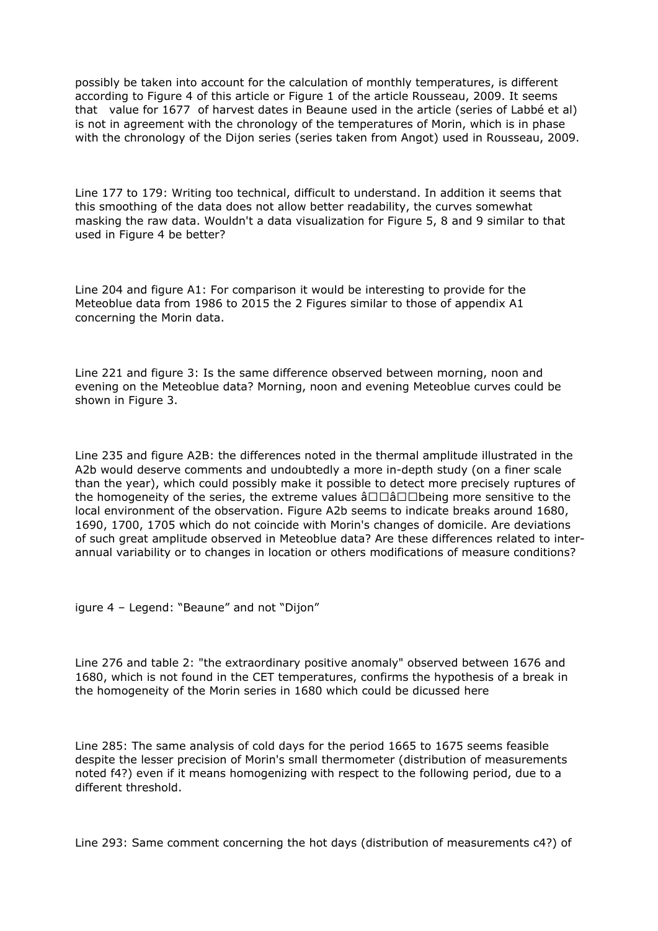possibly be taken into account for the calculation of monthly temperatures, is different according to Figure 4 of this article or Figure 1 of the article Rousseau, 2009. It seems that value for 1677 of harvest dates in Beaune used in the article (series of Labbé et al) is not in agreement with the chronology of the temperatures of Morin, which is in phase with the chronology of the Dijon series (series taken from Angot) used in Rousseau, 2009.

Line 177 to 179: Writing too technical, difficult to understand. In addition it seems that this smoothing of the data does not allow better readability, the curves somewhat masking the raw data. Wouldn't a data visualization for Figure 5, 8 and 9 similar to that used in Figure 4 be better?

Line 204 and figure A1: For comparison it would be interesting to provide for the Meteoblue data from 1986 to 2015 the 2 Figures similar to those of appendix A1 concerning the Morin data.

Line 221 and figure 3: Is the same difference observed between morning, noon and evening on the Meteoblue data? Morning, noon and evening Meteoblue curves could be shown in Figure 3.

Line 235 and figure A2B: the differences noted in the thermal amplitude illustrated in the A2b would deserve comments and undoubtedly a more in-depth study (on a finer scale than the year), which could possibly make it possible to detect more precisely ruptures of the homogeneity of the series, the extreme values  $\hat{a}\Box\Box\hat{a}\Box\Box b$ eing more sensitive to the local environment of the observation. Figure A2b seems to indicate breaks around 1680, 1690, 1700, 1705 which do not coincide with Morin's changes of domicile. Are deviations of such great amplitude observed in Meteoblue data? Are these differences related to interannual variability or to changes in location or others modifications of measure conditions?

igure 4 – Legend: "Beaune" and not "Dijon"

Line 276 and table 2: "the extraordinary positive anomaly" observed between 1676 and 1680, which is not found in the CET temperatures, confirms the hypothesis of a break in the homogeneity of the Morin series in 1680 which could be dicussed here

Line 285: The same analysis of cold days for the period 1665 to 1675 seems feasible despite the lesser precision of Morin's small thermometer (distribution of measurements noted f4?) even if it means homogenizing with respect to the following period, due to a different threshold.

Line 293: Same comment concerning the hot days (distribution of measurements c4?) of